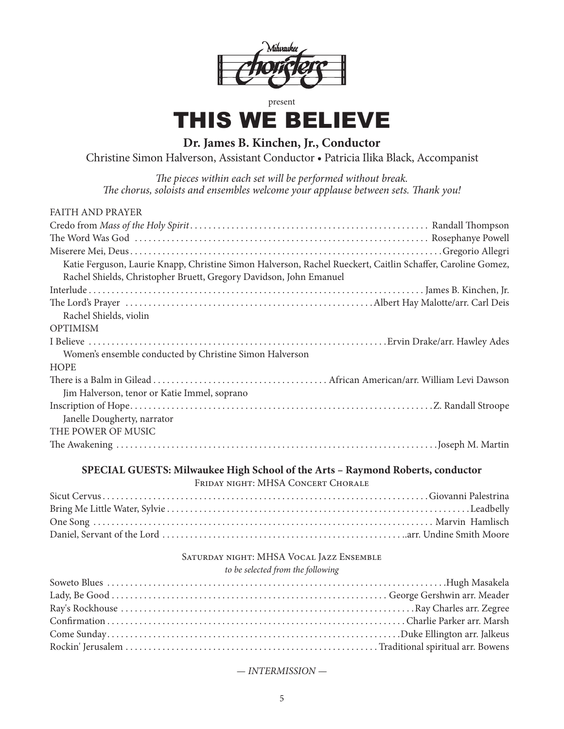

### present

# THIS WE BELIEVE

**Dr. James B. Kinchen, Jr., Conductor**

Christine Simon Halverson, Assistant Conductor • Patricia Ilika Black, Accompanist

*The pieces within each set will be performed without break. The chorus, soloists and ensembles welcome your applause between sets. Thank you!*

| <b>FAITH AND PRAYER</b>                                                                                     |
|-------------------------------------------------------------------------------------------------------------|
|                                                                                                             |
|                                                                                                             |
|                                                                                                             |
| Katie Ferguson, Laurie Knapp, Christine Simon Halverson, Rachel Rueckert, Caitlin Schaffer, Caroline Gomez, |
| Rachel Shields, Christopher Bruett, Gregory Davidson, John Emanuel                                          |
|                                                                                                             |
|                                                                                                             |
| Rachel Shields, violin                                                                                      |
| <b>OPTIMISM</b>                                                                                             |
|                                                                                                             |
| Women's ensemble conducted by Christine Simon Halverson                                                     |
| <b>HOPE</b>                                                                                                 |
|                                                                                                             |
| Jim Halverson, tenor or Katie Immel, soprano                                                                |
|                                                                                                             |
| Janelle Dougherty, narrator                                                                                 |
| THE POWER OF MUSIC                                                                                          |
|                                                                                                             |

## **SPECIAL GUESTS: Milwaukee High School of the Arts – Raymond Roberts, conductor**

FRIDAY NIGHT: MHSA CONCERT CHORALE

# Saturday night: MHSA Vocal Jazz Ensemble

#### *to be selected from the following*

## *— INTERMISSION —*